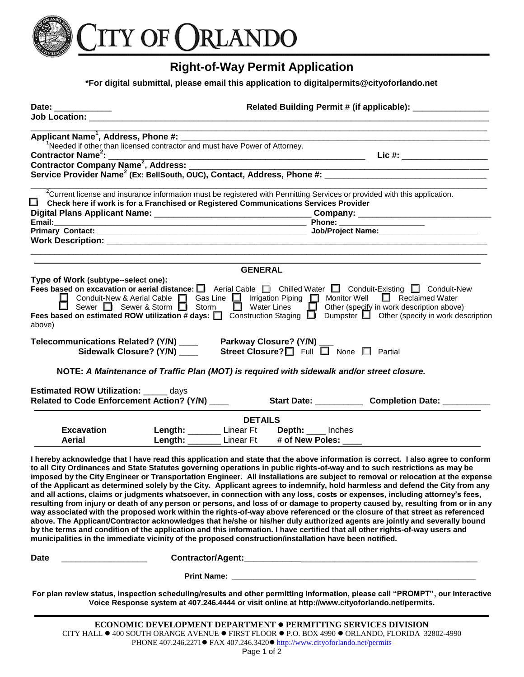

## **Right-of-Way Permit Application**

**\*For digital submittal, please email this application to digitalpermits@cityoforlando.net** 

| Date: _____________                                                                                    | Related Building Permit # (if applicable): ________________                            |                                                                                                |                                                                                                                                                                                                                                                               |
|--------------------------------------------------------------------------------------------------------|----------------------------------------------------------------------------------------|------------------------------------------------------------------------------------------------|---------------------------------------------------------------------------------------------------------------------------------------------------------------------------------------------------------------------------------------------------------------|
|                                                                                                        |                                                                                        |                                                                                                |                                                                                                                                                                                                                                                               |
|                                                                                                        |                                                                                        |                                                                                                |                                                                                                                                                                                                                                                               |
|                                                                                                        | <sup>1</sup> Needed if other than licensed contractor and must have Power of Attorney. |                                                                                                |                                                                                                                                                                                                                                                               |
|                                                                                                        |                                                                                        |                                                                                                | $Lie #:$ ______________________                                                                                                                                                                                                                               |
|                                                                                                        |                                                                                        |                                                                                                |                                                                                                                                                                                                                                                               |
|                                                                                                        |                                                                                        |                                                                                                |                                                                                                                                                                                                                                                               |
|                                                                                                        |                                                                                        |                                                                                                |                                                                                                                                                                                                                                                               |
|                                                                                                        |                                                                                        |                                                                                                | <sup>2</sup> Current license and insurance information must be registered with Permitting Services or provided with this application.                                                                                                                         |
| $\Box$ Check here if work is for a Franchised or Registered Communications Services Provider           |                                                                                        |                                                                                                |                                                                                                                                                                                                                                                               |
|                                                                                                        |                                                                                        |                                                                                                |                                                                                                                                                                                                                                                               |
|                                                                                                        |                                                                                        |                                                                                                | Phone: ______________________                                                                                                                                                                                                                                 |
|                                                                                                        |                                                                                        |                                                                                                |                                                                                                                                                                                                                                                               |
|                                                                                                        |                                                                                        |                                                                                                |                                                                                                                                                                                                                                                               |
|                                                                                                        |                                                                                        |                                                                                                |                                                                                                                                                                                                                                                               |
|                                                                                                        |                                                                                        | <b>GENERAL</b>                                                                                 |                                                                                                                                                                                                                                                               |
| Type of Work (subtype--select one):                                                                    |                                                                                        |                                                                                                |                                                                                                                                                                                                                                                               |
|                                                                                                        |                                                                                        |                                                                                                | Fees based on excavation or aerial distance:<br>Aerial Cable D Chilled Water D Conduit-Existing D Conduit-New                                                                                                                                                 |
|                                                                                                        |                                                                                        |                                                                                                | Conduit-New & Aerial Cable   Gas Line   Irrigation Piping   Monitor Well   Reclaimed Water                                                                                                                                                                    |
|                                                                                                        |                                                                                        |                                                                                                | ■ Sewer ■ Sewer & Storm ■ Storm ■ Water Lines ■ Other (specify in work description above)<br>Fees based on estimated ROW utilization # days: ■ Construction Staging ■ Dumpster ■ Other (specify in work description                                           |
| above)                                                                                                 |                                                                                        |                                                                                                |                                                                                                                                                                                                                                                               |
|                                                                                                        |                                                                                        |                                                                                                |                                                                                                                                                                                                                                                               |
| Telecommunications Related? (Y/N) ____                                                                 |                                                                                        | Parkway Closure? (Y/N) _                                                                       |                                                                                                                                                                                                                                                               |
|                                                                                                        | Sidewalk Closure? (Y/N) ____                                                           | Street Closure? Full I None I Partial                                                          |                                                                                                                                                                                                                                                               |
|                                                                                                        |                                                                                        |                                                                                                |                                                                                                                                                                                                                                                               |
|                                                                                                        |                                                                                        | NOTE: A Maintenance of Traffic Plan (MOT) is required with sidewalk and/or street closure.     |                                                                                                                                                                                                                                                               |
| Estimated ROW Utilization: _____ days                                                                  |                                                                                        |                                                                                                |                                                                                                                                                                                                                                                               |
| Related to Code Enforcement Action? (Y/N) _____                                                        |                                                                                        |                                                                                                | Start Date: ______________ Completion Date: _________                                                                                                                                                                                                         |
|                                                                                                        |                                                                                        |                                                                                                |                                                                                                                                                                                                                                                               |
|                                                                                                        |                                                                                        | <b>DETAILS</b>                                                                                 |                                                                                                                                                                                                                                                               |
| <b>Excavation</b>                                                                                      | Length: ________ Linear Ft                                                             | Depth: Inches                                                                                  |                                                                                                                                                                                                                                                               |
| Aerial                                                                                                 |                                                                                        | Length: _______ Linear Ft # of New Poles: ____                                                 |                                                                                                                                                                                                                                                               |
|                                                                                                        |                                                                                        |                                                                                                |                                                                                                                                                                                                                                                               |
|                                                                                                        |                                                                                        |                                                                                                | I hereby acknowledge that I have read this application and state that the above information is correct. I also agree to conform                                                                                                                               |
|                                                                                                        |                                                                                        |                                                                                                | to all City Ordinances and State Statutes governing operations in public rights-of-way and to such restrictions as may be                                                                                                                                     |
|                                                                                                        |                                                                                        |                                                                                                | imposed by the City Engineer or Transportation Engineer. All installations are subject to removal or relocation at the expense                                                                                                                                |
|                                                                                                        |                                                                                        |                                                                                                | of the Applicant as determined solely by the City. Applicant agrees to indemnify, hold harmless and defend the City from any                                                                                                                                  |
|                                                                                                        |                                                                                        |                                                                                                | and all actions, claims or judgments whatsoever, in connection with any loss, costs or expenses, including attorney's fees,                                                                                                                                   |
|                                                                                                        |                                                                                        |                                                                                                | resulting from injury or death of any person or persons, and loss of or damage to property caused by, resulting from or in any<br>way associated with the proposed work within the rights-of-way above referenced or the closure of that street as referenced |
|                                                                                                        |                                                                                        |                                                                                                | above. The Applicant/Contractor acknowledges that he/she or his/her duly authorized agents are jointly and severally bound                                                                                                                                    |
|                                                                                                        |                                                                                        |                                                                                                | by the terms and condition of the application and this information. I have certified that all other rights-of-way users and                                                                                                                                   |
| municipalities in the immediate vicinity of the proposed construction/installation have been notified. |                                                                                        |                                                                                                |                                                                                                                                                                                                                                                               |
| Date                                                                                                   |                                                                                        |                                                                                                |                                                                                                                                                                                                                                                               |
|                                                                                                        |                                                                                        |                                                                                                |                                                                                                                                                                                                                                                               |
|                                                                                                        |                                                                                        |                                                                                                |                                                                                                                                                                                                                                                               |
|                                                                                                        |                                                                                        |                                                                                                | For plan review status, inspection scheduling/results and other permitting information, please call "PROMPT", our Interactive                                                                                                                                 |
|                                                                                                        |                                                                                        | Voice Response system at 407.246.4444 or visit online at http://www.cityoforlando.net/permits. |                                                                                                                                                                                                                                                               |

**ECONOMIC DEVELOPMENT DEPARTMENT PERMITTING SERVICES DIVISION**  CITY HALL  $\bullet$  400 SOUTH ORANGE AVENUE  $\bullet$  FIRST FLOOR  $\bullet$  P.O. BOX 4990  $\bullet$  ORLANDO, FLORIDA 32802-4990 PHONE 407.246.2271 ● FAX 407.246.3420 ● http://www.cityoforlando.net/permits